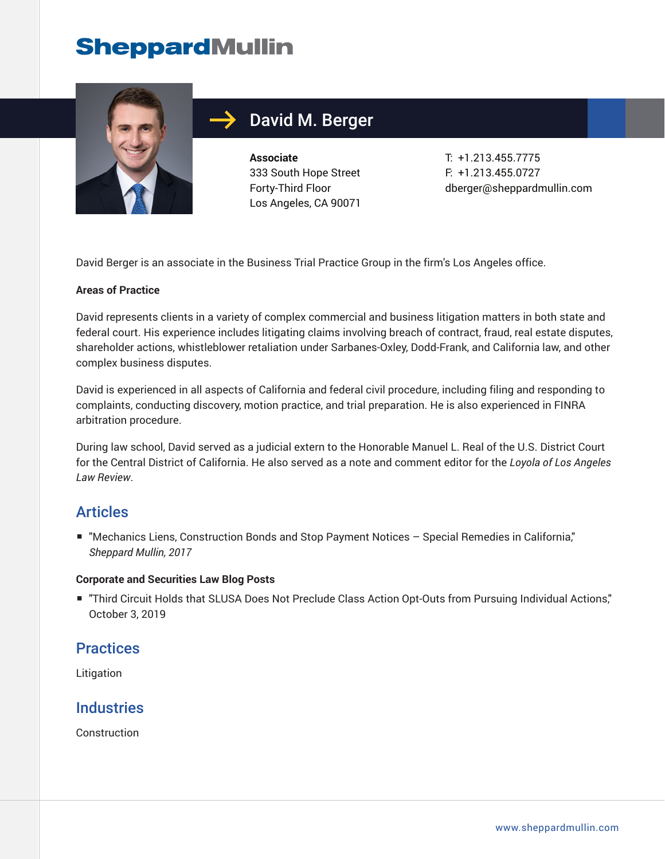## **SheppardMullin**



## David M. Berger

**Associate** 333 South Hope Street Forty-Third Floor Los Angeles, CA 90071

T: +1.213.455.7775 F: +1.213.455.0727 dberger@sheppardmullin.com

David Berger is an associate in the Business Trial Practice Group in the firm's Los Angeles office.

#### **Areas of Practice**

David represents clients in a variety of complex commercial and business litigation matters in both state and federal court. His experience includes litigating claims involving breach of contract, fraud, real estate disputes, shareholder actions, whistleblower retaliation under Sarbanes-Oxley, Dodd-Frank, and California law, and other complex business disputes.

David is experienced in all aspects of California and federal civil procedure, including filing and responding to complaints, conducting discovery, motion practice, and trial preparation. He is also experienced in FINRA arbitration procedure.

During law school, David served as a judicial extern to the Honorable Manuel L. Real of the U.S. District Court for the Central District of California. He also served as a note and comment editor for the *Loyola of Los Angeles Law Review*.

#### Articles

■ "Mechanics Liens, Construction Bonds and Stop Payment Notices - Special Remedies in California," *Sheppard Mullin, 2017*

#### **Corporate and Securities Law Blog Posts**

■ "Third Circuit Holds that SLUSA Does Not Preclude Class Action Opt-Outs from Pursuing Individual Actions," October 3, 2019

#### **Practices**

Litigation

#### **Industries**

Construction